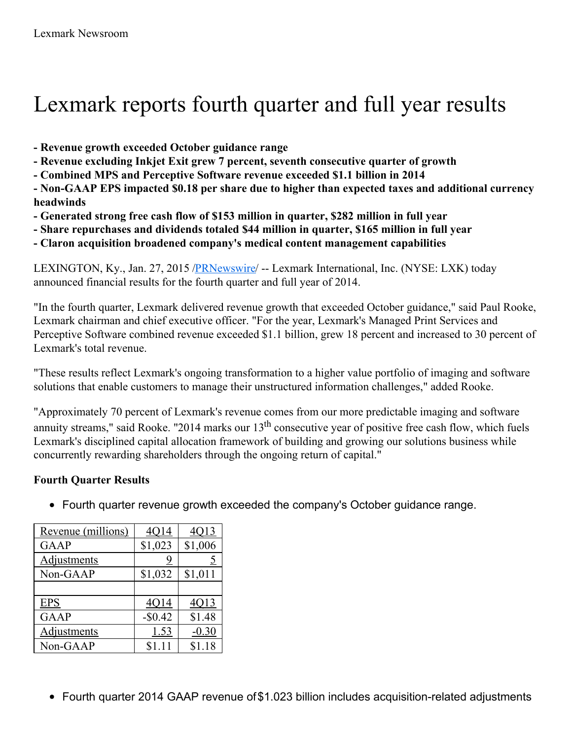# Lexmark reports fourth quarter and full year results

**- Revenue growth exceeded October guidance range**

- **- Revenue excluding Inkjet Exit grew 7 percent, seventh consecutive quarter of growth**
- **- Combined MPS and Perceptive Software revenue exceeded \$1.1 billion in 2014**

**- Non-GAAP EPS impacted \$0.18 per share due to higher than expected taxes and additional currency headwinds**

- **- Generated strong free cash flow of \$153 million in quarter, \$282 million in full year**
- **- Share repurchases and dividends totaled \$44 million in quarter, \$165 million in full year**

**- Claron acquisition broadened company's medical content management capabilities**

LEXINGTON, Ky., Jan. 27, 2015 [/PRNewswire](http://www.prnewswire.com/)/ -- Lexmark International, Inc. (NYSE: LXK) today announced financial results for the fourth quarter and full year of 2014.

"In the fourth quarter, Lexmark delivered revenue growth that exceeded October guidance," said Paul Rooke, Lexmark chairman and chief executive officer. "For the year, Lexmark's Managed Print Services and Perceptive Software combined revenue exceeded \$1.1 billion, grew 18 percent and increased to 30 percent of Lexmark's total revenue.

"These results reflect Lexmark's ongoing transformation to a higher value portfolio of imaging and software solutions that enable customers to manage their unstructured information challenges," added Rooke.

"Approximately 70 percent of Lexmark's revenue comes from our more predictable imaging and software annuity streams," said Rooke. "2014 marks our  $13<sup>th</sup>$  consecutive year of positive free cash flow, which fuels Lexmark's disciplined capital allocation framework of building and growing our solutions business while concurrently rewarding shareholders through the ongoing return of capital."

## **Fourth Quarter Results**

Fourth quarter revenue growth exceeded the company's October guidance range.

| <u>Revenue (millions)</u> |          |          |
|---------------------------|----------|----------|
| <b>GAAP</b>               | \$1,023  | \$1,006  |
| <u>Adjustments</u>        |          | <u>د</u> |
| Non-GAAP                  | \$1,032  | \$1,011  |
|                           |          |          |
| <b>EPS</b>                |          | 913      |
| <b>GAAP</b>               | $-$0.42$ | \$1.48   |
| Adjustments               | 1.53     | $-0.30$  |
| Non-GAAP                  | \$1.11   | \$1.18   |

Fourth quarter 2014 GAAP revenue of\$1.023 billion includes acquisition-related adjustments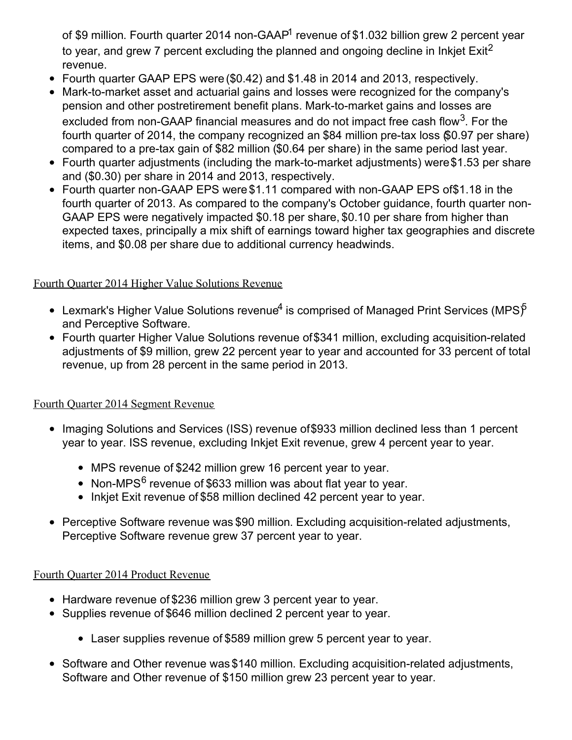of \$9 million. Fourth quarter 2014 non-GAAP<sup>1</sup> revenue of \$1.032 billion grew 2 percent year to year, and grew 7 percent excluding the planned and ongoing decline in Inkjet Exit<sup>2</sup> revenue.

- Fourth quarter GAAP EPS were (\$0.42) and \$1.48 in 2014 and 2013, respectively.
- Mark-to-market asset and actuarial gains and losses were recognized for the company's pension and other postretirement benefit plans. Mark-to-market gains and losses are excluded from non-GAAP financial measures and do not impact free cash flow<sup>3</sup>. For the fourth quarter of 2014, the company recognized an \$84 million pre-tax loss (\$0.97 per share) compared to a pre-tax gain of \$82 million (\$0.64 per share) in the same period last year.
- Fourth quarter adjustments (including the mark-to-market adjustments) were\$1.53 per share and (\$0.30) per share in 2014 and 2013, respectively.
- Fourth quarter non-GAAP EPS were \$1.11 compared with non-GAAP EPS of\$1.18 in the fourth quarter of 2013. As compared to the company's October guidance, fourth quarter non-GAAP EPS were negatively impacted \$0.18 per share, \$0.10 per share from higher than expected taxes, principally a mix shift of earnings toward higher tax geographies and discrete items, and \$0.08 per share due to additional currency headwinds.

#### Fourth Quarter 2014 Higher Value Solutions Revenue

- Lexmark's Higher Value Solutions revenue $^4$  is comprised of Managed Print Services (MPS $\mathfrak h$ and Perceptive Software.
- Fourth quarter Higher Value Solutions revenue of\$341 million, excluding acquisition-related adjustments of \$9 million, grew 22 percent year to year and accounted for 33 percent of total revenue, up from 28 percent in the same period in 2013.

## Fourth Quarter 2014 Segment Revenue

- Imaging Solutions and Services (ISS) revenue of \$933 million declined less than 1 percent year to year. ISS revenue, excluding Inkjet Exit revenue, grew 4 percent year to year.
	- MPS revenue of \$242 million grew 16 percent year to year.
	- Non-MPS<sup>6</sup> revenue of \$633 million was about flat year to year.
	- Inkjet Exit revenue of \$58 million declined 42 percent year to year.
- Perceptive Software revenue was \$90 million. Excluding acquisition-related adjustments, Perceptive Software revenue grew 37 percent year to year.

## Fourth Quarter 2014 Product Revenue

- Hardware revenue of \$236 million grew 3 percent year to year.
- Supplies revenue of \$646 million declined 2 percent year to year.
	- Laser supplies revenue of \$589 million grew 5 percent year to year.
- Software and Other revenue was \$140 million. Excluding acquisition-related adjustments, Software and Other revenue of \$150 million grew 23 percent year to year.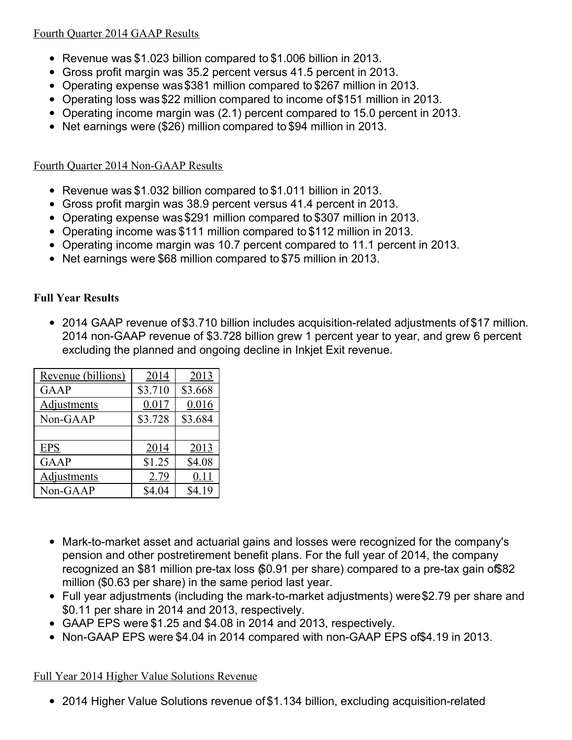#### Fourth Quarter 2014 GAAP Results

- Revenue was \$1.023 billion compared to \$1.006 billion in 2013.
- Gross profit margin was 35.2 percent versus 41.5 percent in 2013.
- Operating expense was\$381 million compared to \$267 million in 2013.
- Operating loss was\$22 million compared to income of\$151 million in 2013.
- Operating income margin was (2.1) percent compared to 15.0 percent in 2013.
- Net earnings were (\$26) million compared to \$94 million in 2013.

#### Fourth Quarter 2014 Non-GAAP Results

- Revenue was \$1.032 billion compared to \$1.011 billion in 2013.
- Gross profit margin was 38.9 percent versus 41.4 percent in 2013.
- Operating expense was\$291 million compared to \$307 million in 2013.
- Operating income was \$111 million compared to \$112 million in 2013.
- Operating income margin was 10.7 percent compared to 11.1 percent in 2013.
- Net earnings were \$68 million compared to \$75 million in 2013.

#### **Full Year Results**

2014 GAAP revenue of \$3.710 billion includes acquisition-related adjustments of \$17 million. 2014 non-GAAP revenue of \$3.728 billion grew 1 percent year to year, and grew 6 percent excluding the planned and ongoing decline in Inkjet Exit revenue.

| <u>Revenue (billions)</u> | 2014    | 2013    |
|---------------------------|---------|---------|
| <b>GAAP</b>               | \$3.710 | \$3.668 |
| Adjustments               | 0.017   | 0.016   |
| Non-GAAP                  | \$3.728 | \$3.684 |
|                           |         |         |
| EPS                       | 2014    | 2013    |
| <b>GAAP</b>               | \$1.25  | \$4.08  |
| <b>Adjustments</b>        | 2.79    | 0.11    |
| Non-GAAP                  | \$4.04  | \$4.19  |

- Mark-to-market asset and actuarial gains and losses were recognized for the company's pension and other postretirement benefit plans. For the full year of 2014, the company recognized an \$81 million pre-tax loss \$0.91 per share) compared to a pre-tax gain of \$82 million (\$0.63 per share) in the same period last year.
- Full year adjustments (including the mark-to-market adjustments) were\$2.79 per share and \$0.11 per share in 2014 and 2013, respectively.
- GAAP EPS were \$1.25 and \$4.08 in 2014 and 2013, respectively.
- Non-GAAP EPS were \$4.04 in 2014 compared with non-GAAP EPS of\$4.19 in 2013.

#### Full Year 2014 Higher Value Solutions Revenue

2014 Higher Value Solutions revenue of \$1.134 billion, excluding acquisition-related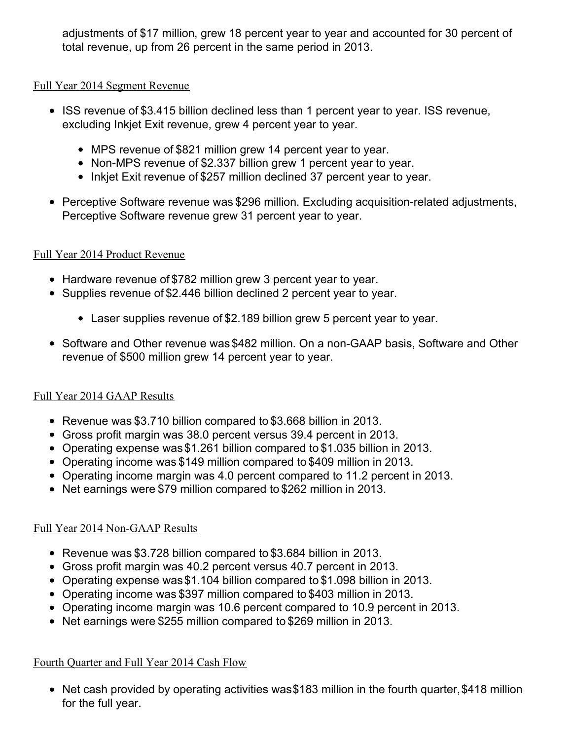adjustments of \$17 million, grew 18 percent year to year and accounted for 30 percent of total revenue, up from 26 percent in the same period in 2013.

#### Full Year 2014 Segment Revenue

- ISS revenue of \$3.415 billion declined less than 1 percent year to year. ISS revenue, excluding Inkjet Exit revenue, grew 4 percent year to year.
	- MPS revenue of \$821 million grew 14 percent year to year.
	- Non-MPS revenue of \$2.337 billion grew 1 percent year to year.
	- Inkjet Exit revenue of \$257 million declined 37 percent year to year.
- Perceptive Software revenue was \$296 million. Excluding acquisition-related adjustments, Perceptive Software revenue grew 31 percent year to year.

# Full Year 2014 Product Revenue

- Hardware revenue of \$782 million grew 3 percent year to year.
- Supplies revenue of \$2.446 billion declined 2 percent year to year.
	- Laser supplies revenue of \$2.189 billion grew 5 percent year to year.
- Software and Other revenue was \$482 million. On a non-GAAP basis, Software and Other revenue of \$500 million grew 14 percent year to year.

# Full Year 2014 GAAP Results

- Revenue was \$3.710 billion compared to \$3.668 billion in 2013.
- Gross profit margin was 38.0 percent versus 39.4 percent in 2013.
- Operating expense was\$1.261 billion compared to \$1.035 billion in 2013.
- Operating income was \$149 million compared to \$409 million in 2013.
- Operating income margin was 4.0 percent compared to 11.2 percent in 2013.
- Net earnings were \$79 million compared to \$262 million in 2013.

# Full Year 2014 Non-GAAP Results

- Revenue was \$3.728 billion compared to \$3.684 billion in 2013.
- Gross profit margin was 40.2 percent versus 40.7 percent in 2013.
- Operating expense was\$1.104 billion compared to \$1.098 billion in 2013.
- Operating income was \$397 million compared to \$403 million in 2013.
- Operating income margin was 10.6 percent compared to 10.9 percent in 2013.
- Net earnings were \$255 million compared to \$269 million in 2013.

## Fourth Quarter and Full Year 2014 Cash Flow

• Net cash provided by operating activities was \$183 million in the fourth quarter, \$418 million for the full year.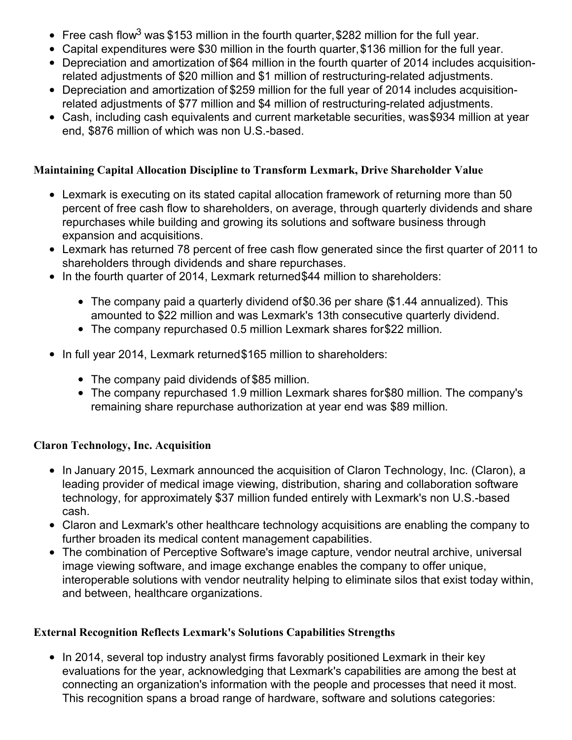- Free cash flow<sup>3</sup> was \$153 million in the fourth quarter, \$282 million for the full year.
- Capital expenditures were \$30 million in the fourth quarter,\$136 million for the full year.
- Depreciation and amortization of \$64 million in the fourth quarter of 2014 includes acquisitionrelated adjustments of \$20 million and \$1 million of restructuring-related adjustments.
- Depreciation and amortization of \$259 million for the full year of 2014 includes acquisitionrelated adjustments of \$77 million and \$4 million of restructuring-related adjustments.
- Cash, including cash equivalents and current marketable securities, was\$934 million at year end, \$876 million of which was non U.S.-based.

## **Maintaining Capital Allocation Discipline to Transform Lexmark, Drive Shareholder Value**

- Lexmark is executing on its stated capital allocation framework of returning more than 50 percent of free cash flow to shareholders, on average, through quarterly dividends and share repurchases while building and growing its solutions and software business through expansion and acquisitions.
- Lexmark has returned 78 percent of free cash flow generated since the first quarter of 2011 to shareholders through dividends and share repurchases.
- In the fourth quarter of 2014, Lexmark returned \$44 million to shareholders:
	- The company paid a quarterly dividend of\$0.36 per share (\$1.44 annualized). This amounted to \$22 million and was Lexmark's 13th consecutive quarterly dividend.
	- The company repurchased 0.5 million Lexmark shares for\$22 million.
- In full year 2014, Lexmark returned \$165 million to shareholders:
	- The company paid dividends of \$85 million.
	- The company repurchased 1.9 million Lexmark shares for\$80 million. The company's remaining share repurchase authorization at year end was \$89 million.

# **Claron Technology, Inc. Acquisition**

- In January 2015, Lexmark announced the acquisition of Claron Technology, Inc. (Claron), a leading provider of medical image viewing, distribution, sharing and collaboration software technology, for approximately \$37 million funded entirely with Lexmark's non U.S.-based cash.
- Claron and Lexmark's other healthcare technology acquisitions are enabling the company to further broaden its medical content management capabilities.
- The combination of Perceptive Software's image capture, vendor neutral archive, universal image viewing software, and image exchange enables the company to offer unique, interoperable solutions with vendor neutrality helping to eliminate silos that exist today within, and between, healthcare organizations.

# **External Recognition Reflects Lexmark's Solutions Capabilities Strengths**

• In 2014, several top industry analyst firms favorably positioned Lexmark in their key evaluations for the year, acknowledging that Lexmark's capabilities are among the best at connecting an organization's information with the people and processes that need it most. This recognition spans a broad range of hardware, software and solutions categories: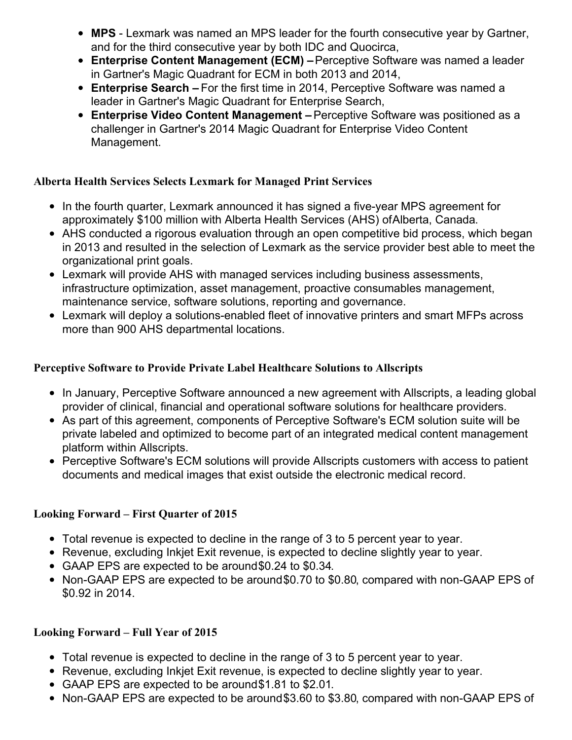- **MPS** Lexmark was named an MPS leader for the fourth consecutive year by Gartner, and for the third consecutive year by both IDC and Quocirca,
- **Enterprise Content Management (ECM) –**Perceptive Software was named a leader in Gartner's Magic Quadrant for ECM in both 2013 and 2014,
- **Enterprise Search –** For the first time in 2014, Perceptive Software was named a leader in Gartner's Magic Quadrant for Enterprise Search,
- **Enterprise Video Content Management –** Perceptive Software was positioned as a challenger in Gartner's 2014 Magic Quadrant for Enterprise Video Content Management.

# **Alberta Health Services Selects Lexmark for Managed Print Services**

- In the fourth quarter, Lexmark announced it has signed a five-year MPS agreement for approximately \$100 million with Alberta Health Services (AHS) ofAlberta, Canada.
- AHS conducted a rigorous evaluation through an open competitive bid process, which began in 2013 and resulted in the selection of Lexmark as the service provider best able to meet the organizational print goals.
- Lexmark will provide AHS with managed services including business assessments, infrastructure optimization, asset management, proactive consumables management, maintenance service, software solutions, reporting and governance.
- Lexmark will deploy a solutions-enabled fleet of innovative printers and smart MFPs across more than 900 AHS departmental locations.

# **Perceptive Software to Provide Private Label Healthcare Solutions to Allscripts**

- In January, Perceptive Software announced a new agreement with Allscripts, a leading global provider of clinical, financial and operational software solutions for healthcare providers.
- As part of this agreement, components of Perceptive Software's ECM solution suite will be private labeled and optimized to become part of an integrated medical content management platform within Allscripts.
- Perceptive Software's ECM solutions will provide Allscripts customers with access to patient documents and medical images that exist outside the electronic medical record.

# **Looking Forward – First Quarter of 2015**

- Total revenue is expected to decline in the range of 3 to 5 percent year to year.
- Revenue, excluding Inkjet Exit revenue, is expected to decline slightly year to year.
- GAAP EPS are expected to be around\$0.24 to \$0.34.
- Non-GAAP EPS are expected to be around\$0.70 to \$0.80, compared with non-GAAP EPS of \$0.92 in 2014.

# **Looking Forward – Full Year of 2015**

- Total revenue is expected to decline in the range of 3 to 5 percent year to year.
- Revenue, excluding Inkjet Exit revenue, is expected to decline slightly year to year.
- GAAP EPS are expected to be around\$1.81 to \$2.01.
- Non-GAAP EPS are expected to be around\$3.60 to \$3.80, compared with non-GAAP EPS of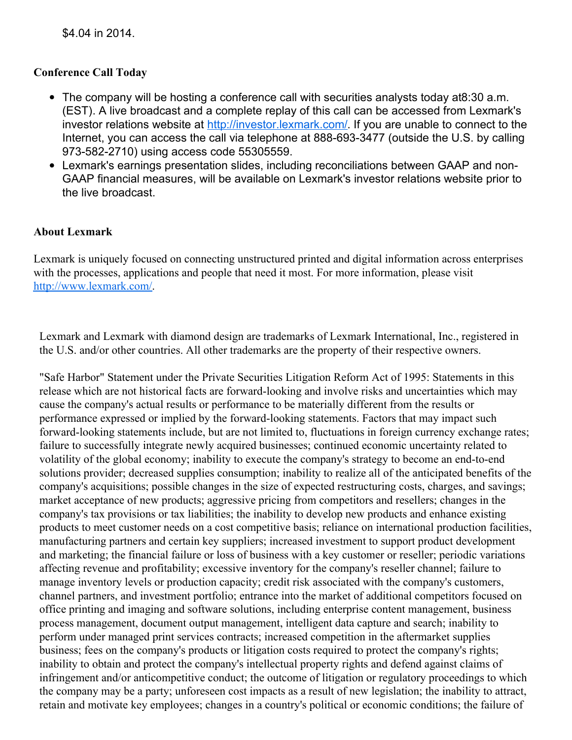\$4.04 in 2014.

#### **Conference Call Today**

- The company will be hosting a conference call with securities analysts today at8:30 a.m. (EST). A live broadcast and a complete replay of this call can be accessed from Lexmark's investor relations website at <http://investor.lexmark.com/>. If you are unable to connect to the Internet, you can access the call via telephone at 888-693-3477 (outside the U.S. by calling 973-582-2710) using access code 55305559.
- Lexmark's earnings presentation slides, including reconciliations between GAAP and non-GAAP financial measures, will be available on Lexmark's investor relations website prior to the live broadcast.

#### **About Lexmark**

Lexmark is uniquely focused on connecting unstructured printed and digital information across enterprises with the processes, applications and people that need it most. For more information, please visit [http://www.lexmark.com/.](http://www.lexmark.com/)

Lexmark and Lexmark with diamond design are trademarks of Lexmark International, Inc., registered in the U.S. and/or other countries. All other trademarks are the property of their respective owners.

"Safe Harbor" Statement under the Private Securities Litigation Reform Act of 1995: Statements in this release which are not historical facts are forward-looking and involve risks and uncertainties which may cause the company's actual results or performance to be materially different from the results or performance expressed or implied by the forward-looking statements. Factors that may impact such forward-looking statements include, but are not limited to, fluctuations in foreign currency exchange rates; failure to successfully integrate newly acquired businesses; continued economic uncertainty related to volatility of the global economy; inability to execute the company's strategy to become an end-to-end solutions provider; decreased supplies consumption; inability to realize all of the anticipated benefits of the company's acquisitions; possible changes in the size of expected restructuring costs, charges, and savings; market acceptance of new products; aggressive pricing from competitors and resellers; changes in the company's tax provisions or tax liabilities; the inability to develop new products and enhance existing products to meet customer needs on a cost competitive basis; reliance on international production facilities, manufacturing partners and certain key suppliers; increased investment to support product development and marketing; the financial failure or loss of business with a key customer or reseller; periodic variations affecting revenue and profitability; excessive inventory for the company's reseller channel; failure to manage inventory levels or production capacity; credit risk associated with the company's customers, channel partners, and investment portfolio; entrance into the market of additional competitors focused on office printing and imaging and software solutions, including enterprise content management, business process management, document output management, intelligent data capture and search; inability to perform under managed print services contracts; increased competition in the aftermarket supplies business; fees on the company's products or litigation costs required to protect the company's rights; inability to obtain and protect the company's intellectual property rights and defend against claims of infringement and/or anticompetitive conduct; the outcome of litigation or regulatory proceedings to which the company may be a party; unforeseen cost impacts as a result of new legislation; the inability to attract, retain and motivate key employees; changes in a country's political or economic conditions; the failure of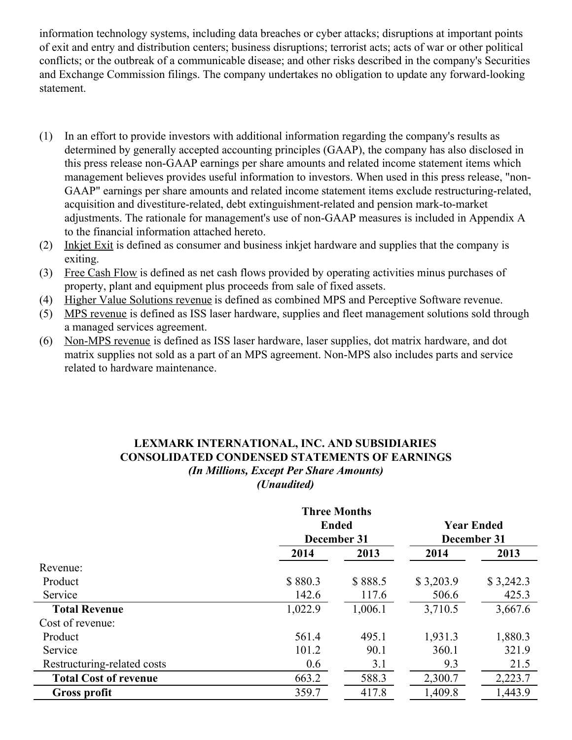information technology systems, including data breaches or cyber attacks; disruptions at important points of exit and entry and distribution centers; business disruptions; terrorist acts; acts of war or other political conflicts; or the outbreak of a communicable disease; and other risks described in the company's Securities and Exchange Commission filings. The company undertakes no obligation to update any forward-looking statement.

- (1) In an effort to provide investors with additional information regarding the company's results as determined by generally accepted accounting principles (GAAP), the company has also disclosed in this press release non-GAAP earnings per share amounts and related income statement items which management believes provides useful information to investors. When used in this press release, "non-GAAP" earnings per share amounts and related income statement items exclude restructuring-related, acquisition and divestiture-related, debt extinguishment-related and pension mark-to-market adjustments. The rationale for management's use of non-GAAP measures is included in Appendix A to the financial information attached hereto.
- (2) Inkjet Exit is defined as consumer and business inkjet hardware and supplies that the company is exiting.
- (3) Free Cash Flow is defined as net cash flows provided by operating activities minus purchases of property, plant and equipment plus proceeds from sale of fixed assets.
- (4) Higher Value Solutions revenue is defined as combined MPS and Perceptive Software revenue.
- (5) MPS revenue is defined as ISS laser hardware, supplies and fleet management solutions sold through a managed services agreement.
- (6) Non-MPS revenue is defined as ISS laser hardware, laser supplies, dot matrix hardware, and dot matrix supplies not sold as a part of an MPS agreement. Non-MPS also includes parts and service related to hardware maintenance.

#### **LEXMARK INTERNATIONAL, INC. AND SUBSIDIARIES CONSOLIDATED CONDENSED STATEMENTS OF EARNINGS** *(In Millions, Except Per Share Amounts) (Unaudited)*

|                              | <b>Three Months</b> |              |             |                   |
|------------------------------|---------------------|--------------|-------------|-------------------|
|                              |                     | <b>Ended</b> |             | <b>Year Ended</b> |
|                              | December 31         |              | December 31 |                   |
|                              | 2014                | 2013         | 2014        | 2013              |
| Revenue:                     |                     |              |             |                   |
| Product                      | \$880.3             | \$888.5      | \$3,203.9   | \$3,242.3         |
| Service                      | 142.6               | 117.6        | 506.6       | 425.3             |
| <b>Total Revenue</b>         | 1,022.9             | 1,006.1      | 3,710.5     | 3,667.6           |
| Cost of revenue:             |                     |              |             |                   |
| Product                      | 561.4               | 495.1        | 1,931.3     | 1,880.3           |
| Service                      | 101.2               | 90.1         | 360.1       | 321.9             |
| Restructuring-related costs  | 0.6                 | 3.1          | 9.3         | 21.5              |
| <b>Total Cost of revenue</b> | 663.2               | 588.3        | 2,300.7     | 2,223.7           |
| <b>Gross profit</b>          | 359.7               | 417.8        | 1,409.8     | 1,443.9           |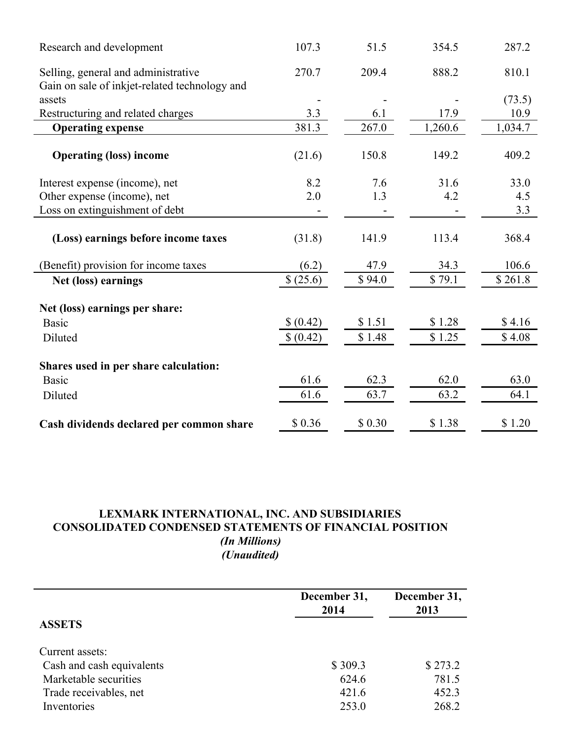| Research and development                      | 107.3     | 51.5   | 354.5   | 287.2   |
|-----------------------------------------------|-----------|--------|---------|---------|
| Selling, general and administrative           | 270.7     | 209.4  | 888.2   | 810.1   |
| Gain on sale of inkjet-related technology and |           |        |         |         |
| assets                                        |           |        |         | (73.5)  |
| Restructuring and related charges             | 3.3       | 6.1    | 17.9    | 10.9    |
| <b>Operating expense</b>                      | 381.3     | 267.0  | 1,260.6 | 1,034.7 |
| <b>Operating (loss) income</b>                | (21.6)    | 150.8  | 149.2   | 409.2   |
| Interest expense (income), net                | 8.2       | 7.6    | 31.6    | 33.0    |
| Other expense (income), net                   | 2.0       | 1.3    | 4.2     | 4.5     |
| Loss on extinguishment of debt                |           |        |         | 3.3     |
| (Loss) earnings before income taxes           | (31.8)    | 141.9  | 113.4   | 368.4   |
|                                               |           |        |         |         |
| (Benefit) provision for income taxes          | (6.2)     | 47.9   | 34.3    | 106.6   |
| Net (loss) earnings                           | \$ (25.6) | \$94.0 | \$79.1  | \$261.8 |
| Net (loss) earnings per share:                |           |        |         |         |
| <b>Basic</b>                                  | \$ (0.42) | \$1.51 | \$1.28  | \$4.16  |
| Diluted                                       | \$ (0.42) | \$1.48 | \$1.25  | \$4.08  |
| Shares used in per share calculation:         |           |        |         |         |
| <b>Basic</b>                                  | 61.6      | 62.3   | 62.0    | 63.0    |
| Diluted                                       | 61.6      | 63.7   | 63.2    | 64.1    |
| Cash dividends declared per common share      | \$0.36    | \$0.30 | \$1.38  | \$1.20  |

# **LEXMARK INTERNATIONAL, INC. AND SUBSIDIARIES CONSOLIDATED CONDENSED STATEMENTS OF FINANCIAL POSITION** *(In Millions)*

*(Unaudited)*

|                           | December 31,<br>2014 | December 31,<br>2013 |
|---------------------------|----------------------|----------------------|
| <b>ASSETS</b>             |                      |                      |
| Current assets:           |                      |                      |
| Cash and cash equivalents | \$309.3              | \$273.2              |
| Marketable securities     | 624.6                | 781.5                |
| Trade receivables, net    | 421.6                | 452.3                |
| Inventories               | 253.0                | 268.2                |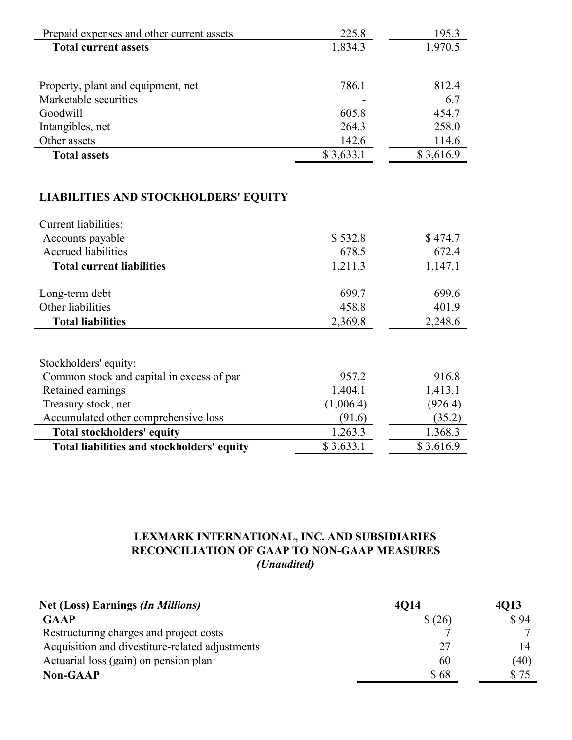| Prepaid expenses and other current assets | 225.8     | 195.3     |
|-------------------------------------------|-----------|-----------|
| <b>Total current assets</b>               | 1,834.3   | 1,970.5   |
|                                           |           |           |
| Property, plant and equipment, net        | 786.1     | 812.4     |
| Marketable securities                     |           | 6.7       |
| Goodwill                                  | 605.8     | 454.7     |
| Intangibles, net                          | 264.3     | 258.0     |
| Other assets                              | 142.6     | 114.6     |
| <b>Total assets</b>                       | \$3,633.1 | \$3,616.9 |

# **LIABILITIES AND STOCKHOLDERS' EQUITY**

| Current liabilities:                       |           |           |
|--------------------------------------------|-----------|-----------|
| Accounts payable                           | \$532.8   | \$474.7   |
| <b>Accrued liabilities</b>                 | 678.5     | 672.4     |
| <b>Total current liabilities</b>           | 1,211.3   | 1,147.1   |
|                                            |           |           |
| Long-term debt                             | 699.7     | 699.6     |
| Other liabilities                          | 458.8     | 401.9     |
| <b>Total liabilities</b>                   | 2,369.8   | 2,248.6   |
|                                            |           |           |
| Stockholders' equity:                      |           |           |
| Common stock and capital in excess of par  | 957.2     | 916.8     |
| Retained earnings                          | 1,404.1   | 1,413.1   |
| Treasury stock, net                        | (1,006.4) | (926.4)   |
| Accumulated other comprehensive loss       | (91.6)    | (35.2)    |
| Total stockholders' equity                 | 1,263.3   | 1,368.3   |
| Total liabilities and stockholders' equity | \$3,633.1 | \$3,616.9 |

# **LEXMARK INTERNATIONAL, INC. AND SUBSIDIARIES RECONCILIATION OF GAAP TO NON-GAAP MEASURES** *(Unaudited)*

| <b>Net (Loss) Earnings (In Millions)</b>        | 4014   | 4013 |
|-------------------------------------------------|--------|------|
| <b>GAAP</b>                                     | \$(26) | \$94 |
| Restructuring charges and project costs         |        |      |
| Acquisition and divestiture-related adjustments | 27     | 14   |
| Actuarial loss (gain) on pension plan           | 60     | (40) |
| <b>Non-GAAP</b>                                 | \$68   | \$75 |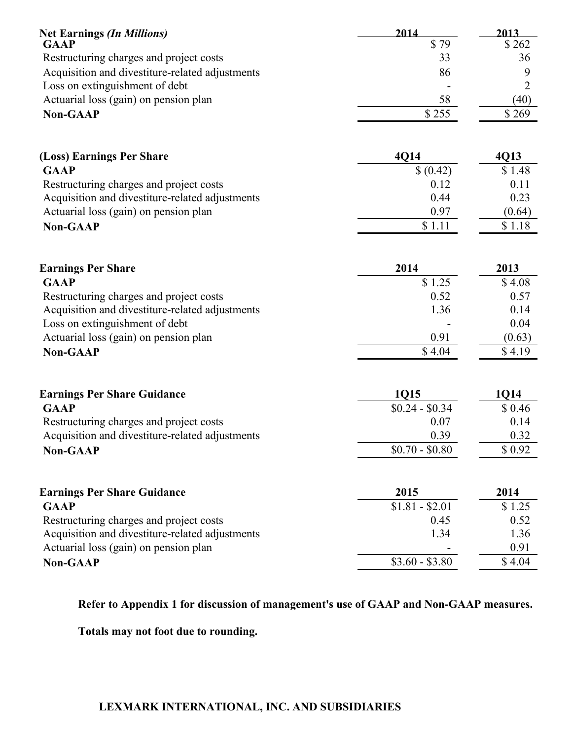| <b>Net Earnings (In Millions)</b>               | 2014            | 2013           |
|-------------------------------------------------|-----------------|----------------|
| <b>GAAP</b>                                     | \$79            | \$262          |
| Restructuring charges and project costs         | 33              | 36             |
| Acquisition and divestiture-related adjustments | 86              | 9              |
| Loss on extinguishment of debt                  |                 | $\overline{2}$ |
| Actuarial loss (gain) on pension plan           | 58              | (40)           |
| <b>Non-GAAP</b>                                 | \$255           | \$269          |
| (Loss) Earnings Per Share                       | 4Q14            | 4Q13           |
| <b>GAAP</b>                                     | \$ (0.42)       | \$1.48         |
| Restructuring charges and project costs         | 0.12            | 0.11           |
| Acquisition and divestiture-related adjustments | 0.44            | 0.23           |
| Actuarial loss (gain) on pension plan           | 0.97            | (0.64)         |
| <b>Non-GAAP</b>                                 | \$1.11          | \$1.18         |
|                                                 |                 |                |
| <b>Earnings Per Share</b>                       | 2014            | 2013           |
| <b>GAAP</b>                                     | \$1.25          | \$4.08         |
| Restructuring charges and project costs         | 0.52            | 0.57           |
| Acquisition and divestiture-related adjustments | 1.36            | 0.14           |
| Loss on extinguishment of debt                  |                 | 0.04           |
| Actuarial loss (gain) on pension plan           | 0.91            | (0.63)         |
| <b>Non-GAAP</b>                                 | \$4.04          | \$4.19         |
| <b>Earnings Per Share Guidance</b>              | 1Q15            | 1Q14           |
| <b>GAAP</b>                                     | $$0.24 - $0.34$ | \$0.46         |
| Restructuring charges and project costs         | 0.07            | 0.14           |
| Acquisition and divestiture-related adjustments | 0.39            | 0.32           |
| <b>Non-GAAP</b>                                 | $$0.70 - $0.80$ | \$0.92         |
|                                                 |                 |                |
| <b>Earnings Per Share Guidance</b>              | 2015            | 2014           |
| <b>GAAP</b>                                     | $$1.81 - $2.01$ | \$1.25         |
| Restructuring charges and project costs         | 0.45            | 0.52           |
| Acquisition and divestiture-related adjustments | 1.34            | 1.36           |
| Actuarial loss (gain) on pension plan           |                 | 0.91           |
| <b>Non-GAAP</b>                                 | $$3.60 - $3.80$ | \$4.04         |
|                                                 |                 |                |

**Refer to Appendix 1 for discussion of management's use of GAAP and Non-GAAP measures.**

**Totals may not foot due to rounding.**

# **LEXMARK INTERNATIONAL, INC. AND SUBSIDIARIES**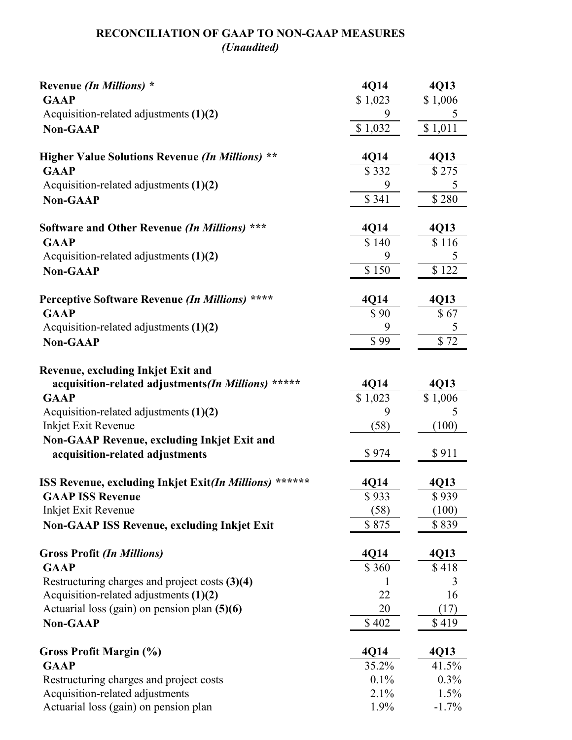# **RECONCILIATION OF GAAP TO NON-GAAP MEASURES** *(Unaudited)*

| Revenue (In Millions) *                                       | 4Q14    | 4Q13     |
|---------------------------------------------------------------|---------|----------|
| <b>GAAP</b>                                                   | \$1,023 | \$1,006  |
| Acquisition-related adjustments $(1)(2)$                      | 9       | 5        |
| <b>Non-GAAP</b>                                               | \$1,032 | \$1,011  |
| <b>Higher Value Solutions Revenue (In Millions)</b> **        | 4Q14    | 4Q13     |
| <b>GAAP</b>                                                   | \$332   | \$275    |
| Acquisition-related adjustments $(1)(2)$                      | 9       | 5        |
| <b>Non-GAAP</b>                                               | \$341   | \$280    |
| Software and Other Revenue (In Millions) ***                  | 4Q14    | 4Q13     |
| <b>GAAP</b>                                                   | \$140   | \$116    |
| Acquisition-related adjustments (1)(2)                        | 9       | 5        |
| <b>Non-GAAP</b>                                               | \$150   | \$122    |
| Perceptive Software Revenue (In Millions) ****                | 4Q14    | 4Q13     |
| <b>GAAP</b>                                                   | \$90    | \$67     |
| Acquisition-related adjustments $(1)(2)$                      | 9       | 5        |
| <b>Non-GAAP</b>                                               | \$99    | \$72     |
| <b>Revenue, excluding Inkjet Exit and</b>                     |         |          |
| acquisition-related adjustments(In Millions) *****            | 4Q14    | 4Q13     |
| <b>GAAP</b>                                                   | \$1,023 | \$1,006  |
| Acquisition-related adjustments $(1)(2)$                      | 9       | 5        |
| Inkjet Exit Revenue                                           | (58)    | (100)    |
| <b>Non-GAAP Revenue, excluding Inkjet Exit and</b>            |         |          |
| acquisition-related adjustments                               | \$974   | \$911    |
| <b>ISS Revenue, excluding Inkjet Exit(In Millions)</b> ****** | 4Q14    | 4Q13     |
| <b>GAAP ISS Revenue</b>                                       | \$933   | \$939    |
| Inkjet Exit Revenue                                           | (58)    | (100)    |
| <b>Non-GAAP ISS Revenue, excluding Inkjet Exit</b>            | \$875   | \$839    |
| <b>Gross Profit (In Millions)</b>                             | 4Q14    | 4Q13     |
| <b>GAAP</b>                                                   | \$360   | \$418    |
| Restructuring charges and project costs (3)(4)                |         | 3        |
| Acquisition-related adjustments $(1)(2)$                      | 22      | 16       |
| Actuarial loss (gain) on pension plan $(5)(6)$                | 20      | (17)     |
| <b>Non-GAAP</b>                                               | \$402   | \$419    |
| Gross Profit Margin (%)                                       | 4Q14    | 4Q13     |
| <b>GAAP</b>                                                   | 35.2%   | 41.5%    |
| Restructuring charges and project costs                       | 0.1%    | 0.3%     |
| Acquisition-related adjustments                               | 2.1%    | 1.5%     |
| Actuarial loss (gain) on pension plan                         | 1.9%    | $-1.7\%$ |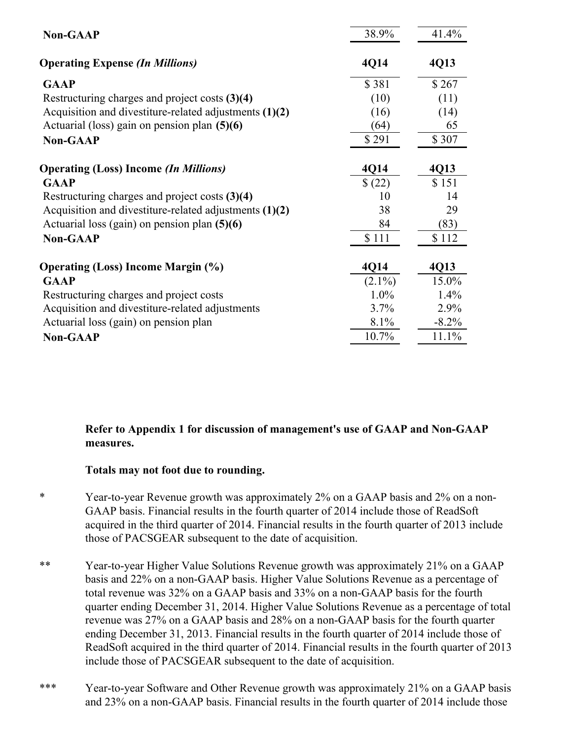| <b>Non-GAAP</b>                                          | 38.9%     | 41.4%    |
|----------------------------------------------------------|-----------|----------|
| <b>Operating Expense (In Millions)</b>                   | 4Q14      | 4Q13     |
| <b>GAAP</b>                                              | \$381     | \$267    |
| Restructuring charges and project costs (3)(4)           | (10)      | (11)     |
| Acquisition and divestiture-related adjustments $(1)(2)$ | (16)      | (14)     |
| Actuarial (loss) gain on pension plan $(5)(6)$           | (64)      | 65       |
| <b>Non-GAAP</b>                                          | \$291     | \$307    |
| <b>Operating (Loss) Income (In Millions)</b>             | 4Q14      | 4Q13     |
| <b>GAAP</b>                                              | \$(22)    | \$151    |
| Restructuring charges and project costs (3)(4)           | 10        | 14       |
| Acquisition and divestiture-related adjustments $(1)(2)$ | 38        | 29       |
| Actuarial loss (gain) on pension plan $(5)(6)$           | 84        | (83)     |
| <b>Non-GAAP</b>                                          | \$111     | \$112    |
| <b>Operating (Loss) Income Margin (%)</b>                | 4Q14      | 4Q13     |
| <b>GAAP</b>                                              | $(2.1\%)$ | 15.0%    |
| Restructuring charges and project costs                  | 1.0%      | 1.4%     |
| Acquisition and divestiture-related adjustments          | 3.7%      | 2.9%     |
| Actuarial loss (gain) on pension plan                    | 8.1%      | $-8.2\%$ |
| <b>Non-GAAP</b>                                          | 10.7%     | 11.1%    |

#### **Refer to Appendix 1 for discussion of management's use of GAAP and Non-GAAP measures.**

#### **Totals may not foot due to rounding.**

- \* Year-to-year Revenue growth was approximately 2% on a GAAP basis and 2% on a non-GAAP basis. Financial results in the fourth quarter of 2014 include those of ReadSoft acquired in the third quarter of 2014. Financial results in the fourth quarter of 2013 include those of PACSGEAR subsequent to the date of acquisition.
- \*\* Year-to-year Higher Value Solutions Revenue growth was approximately 21% on a GAAP basis and 22% on a non-GAAP basis. Higher Value Solutions Revenue as a percentage of total revenue was 32% on a GAAP basis and 33% on a non-GAAP basis for the fourth quarter ending December 31, 2014. Higher Value Solutions Revenue as a percentage of total revenue was 27% on a GAAP basis and 28% on a non-GAAP basis for the fourth quarter ending December 31, 2013. Financial results in the fourth quarter of 2014 include those of ReadSoft acquired in the third quarter of 2014. Financial results in the fourth quarter of 2013 include those of PACSGEAR subsequent to the date of acquisition.
- \*\*\* Year-to-year Software and Other Revenue growth was approximately 21% on a GAAP basis and 23% on a non-GAAP basis. Financial results in the fourth quarter of 2014 include those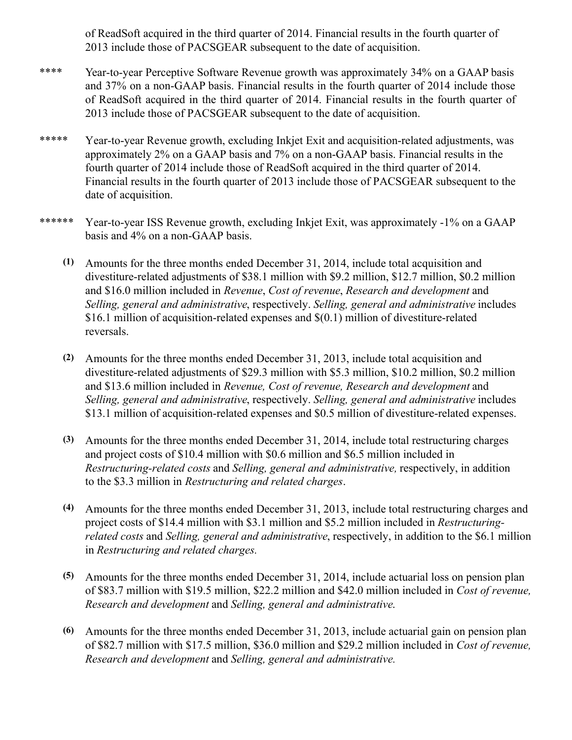of ReadSoft acquired in the third quarter of 2014. Financial results in the fourth quarter of 2013 include those of PACSGEAR subsequent to the date of acquisition.

- \*\*\*\* Year-to-year Perceptive Software Revenue growth was approximately 34% on a GAAP basis and 37% on a non-GAAP basis. Financial results in the fourth quarter of 2014 include those of ReadSoft acquired in the third quarter of 2014. Financial results in the fourth quarter of 2013 include those of PACSGEAR subsequent to the date of acquisition.
- \*\*\*\*\* Year-to-year Revenue growth, excluding Inkiet Exit and acquisition-related adjustments, was approximately 2% on a GAAP basis and 7% on a non-GAAP basis. Financial results in the fourth quarter of 2014 include those of ReadSoft acquired in the third quarter of 2014. Financial results in the fourth quarter of 2013 include those of PACSGEAR subsequent to the date of acquisition.
- \*\*\*\*\*\* Year-to-year ISS Revenue growth, excluding Inkjet Exit, was approximately -1% on a GAAP basis and 4% on a non-GAAP basis.
	- **(1)** Amounts for the three months ended December 31, 2014, include total acquisition and divestiture-related adjustments of \$38.1 million with \$9.2 million, \$12.7 million, \$0.2 million and \$16.0 million included in *Revenue*, *Cost of revenue*, *Research and development* and *Selling, general and administrative*, respectively. *Selling, general and administrative* includes \$16.1 million of acquisition-related expenses and \$(0.1) million of divestiture-related reversals.
	- **(2)** Amounts for the three months ended December 31, 2013, include total acquisition and divestiture-related adjustments of \$29.3 million with \$5.3 million, \$10.2 million, \$0.2 million and \$13.6 million included in *Revenue, Cost of revenue, Research and development* and *Selling, general and administrative*, respectively. *Selling, general and administrative* includes \$13.1 million of acquisition-related expenses and \$0.5 million of divestiture-related expenses.
	- **(3)** Amounts for the three months ended December 31, 2014, include total restructuring charges and project costs of \$10.4 million with \$0.6 million and \$6.5 million included in *Restructuring-related costs* and *Selling, general and administrative,* respectively, in addition to the \$3.3 million in *Restructuring and related charges*.
	- **(4)** Amounts for the three months ended December 31, 2013, include total restructuring charges and project costs of \$14.4 million with \$3.1 million and \$5.2 million included in *Restructuringrelated costs* and *Selling, general and administrative*, respectively, in addition to the \$6.1 million in *Restructuring and related charges.*
	- **(5)** Amounts for the three months ended December 31, 2014, include actuarial loss on pension plan of \$83.7 million with \$19.5 million, \$22.2 million and \$42.0 million included in *Cost of revenue, Research and development* and *Selling, general and administrative*.
	- **(6)** Amounts for the three months ended December 31, 2013, include actuarial gain on pension plan of \$82.7 million with \$17.5 million, \$36.0 million and \$29.2 million included in *Cost of revenue, Research and development* and *Selling, general and administrative.*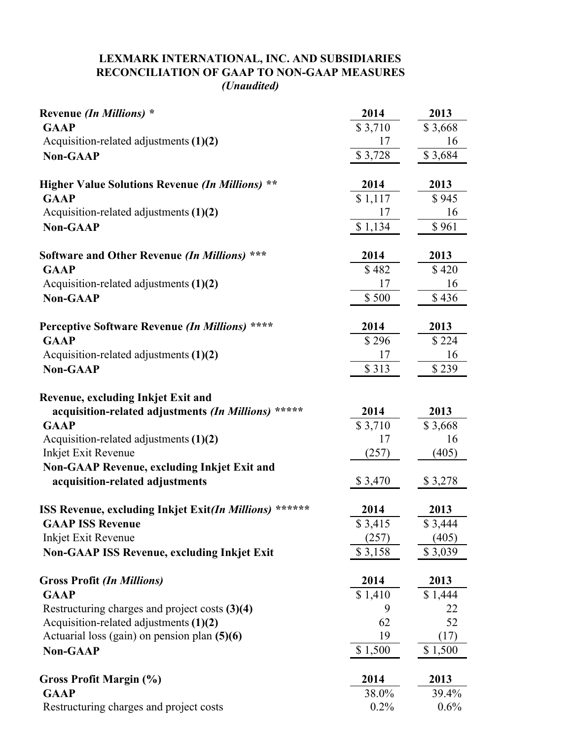## **LEXMARK INTERNATIONAL, INC. AND SUBSIDIARIES RECONCILIATION OF GAAP TO NON-GAAP MEASURES** *(Unaudited)*

| <b>Revenue (In Millions)</b> *                                | 2014    | 2013    |
|---------------------------------------------------------------|---------|---------|
| <b>GAAP</b>                                                   | \$3,710 | \$3,668 |
| Acquisition-related adjustments $(1)(2)$                      | 17      | 16      |
| <b>Non-GAAP</b>                                               | \$3,728 | \$3,684 |
| <b>Higher Value Solutions Revenue (In Millions)</b> **        | 2014    | 2013    |
| <b>GAAP</b>                                                   | \$1,117 | \$945   |
| Acquisition-related adjustments $(1)(2)$                      | 17      | 16      |
| <b>Non-GAAP</b>                                               | \$1,134 | \$961   |
| Software and Other Revenue (In Millions) ***                  | 2014    | 2013    |
| <b>GAAP</b>                                                   | \$482   | \$420   |
| Acquisition-related adjustments $(1)(2)$                      | 17      | 16      |
| <b>Non-GAAP</b>                                               | \$500   | \$436   |
| Perceptive Software Revenue (In Millions) ****                | 2014    | 2013    |
| <b>GAAP</b>                                                   | \$296   | \$224   |
| Acquisition-related adjustments $(1)(2)$                      | 17      | 16      |
| <b>Non-GAAP</b>                                               | \$313   | \$239   |
| Revenue, excluding Inkjet Exit and                            |         |         |
| acquisition-related adjustments (In Millions) *****           | 2014    | 2013    |
| <b>GAAP</b>                                                   | \$3,710 | \$3,668 |
| Acquisition-related adjustments $(1)(2)$                      | 17      | 16      |
| Inkjet Exit Revenue                                           | (257)   | (405)   |
| <b>Non-GAAP Revenue, excluding Inkjet Exit and</b>            |         |         |
| acquisition-related adjustments                               | \$3,470 | \$3,278 |
| <b>ISS Revenue, excluding Inkjet Exit(In Millions)</b> ****** | 2014    | 2013    |
| <b>GAAP ISS Revenue</b>                                       | \$3,415 | \$3,444 |
| <b>Inkjet Exit Revenue</b>                                    | (257)   | (405)   |
| <b>Non-GAAP ISS Revenue, excluding Inkjet Exit</b>            | \$3,158 | \$3,039 |
| <b>Gross Profit (In Millions)</b>                             | 2014    | 2013    |
| <b>GAAP</b>                                                   | \$1,410 | \$1,444 |
| Restructuring charges and project costs (3)(4)                | 9       | 22      |
| Acquisition-related adjustments (1)(2)                        | 62      | 52      |
| Actuarial loss (gain) on pension plan $(5)(6)$                | 19      | (17)    |
| <b>Non-GAAP</b>                                               | \$1,500 | \$1,500 |
| Gross Profit Margin (%)                                       | 2014    | 2013    |
| <b>GAAP</b>                                                   | 38.0%   | 39.4%   |
| Restructuring charges and project costs                       | 0.2%    | 0.6%    |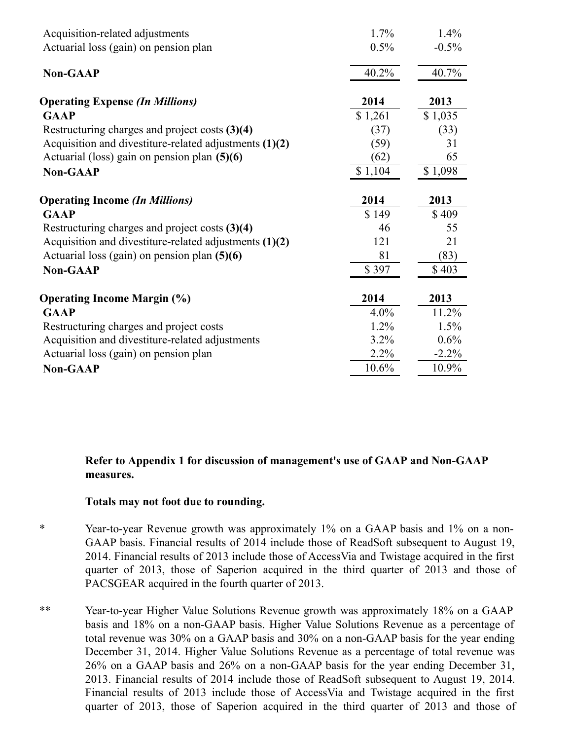| Acquisition-related adjustments                          | 1.7%    | 1.4%     |
|----------------------------------------------------------|---------|----------|
| Actuarial loss (gain) on pension plan                    | 0.5%    | $-0.5%$  |
| <b>Non-GAAP</b>                                          | 40.2%   | 40.7%    |
| <b>Operating Expense (In Millions)</b>                   | 2014    | 2013     |
| <b>GAAP</b>                                              | \$1,261 | \$1,035  |
| Restructuring charges and project costs (3)(4)           | (37)    | (33)     |
| Acquisition and divestiture-related adjustments $(1)(2)$ | (59)    | 31       |
| Actuarial (loss) gain on pension plan $(5)(6)$           | (62)    | 65       |
| <b>Non-GAAP</b>                                          | \$1,104 | \$1,098  |
| <b>Operating Income (In Millions)</b>                    | 2014    | 2013     |
| <b>GAAP</b>                                              | \$149   | \$409    |
| Restructuring charges and project costs (3)(4)           | 46      | 55       |
| Acquisition and divestiture-related adjustments (1)(2)   | 121     | 21       |
| Actuarial loss (gain) on pension plan $(5)(6)$           | 81      | (83)     |
| <b>Non-GAAP</b>                                          | \$397   | \$403    |
| <b>Operating Income Margin (%)</b>                       | 2014    | 2013     |
| <b>GAAP</b>                                              | 4.0%    | 11.2%    |
| Restructuring charges and project costs                  | 1.2%    | 1.5%     |
| Acquisition and divestiture-related adjustments          | 3.2%    | 0.6%     |
| Actuarial loss (gain) on pension plan                    | 2.2%    | $-2.2\%$ |
| <b>Non-GAAP</b>                                          | 10.6%   | 10.9%    |

#### **Refer to Appendix 1 for discussion of management's use of GAAP and Non-GAAP measures.**

#### **Totals may not foot due to rounding.**

- \* Year-to-year Revenue growth was approximately 1% on a GAAP basis and 1% on a non-GAAP basis. Financial results of 2014 include those of ReadSoft subsequent to August 19, 2014. Financial results of 2013 include those of AccessVia and Twistage acquired in the first quarter of 2013, those of Saperion acquired in the third quarter of 2013 and those of PACSGEAR acquired in the fourth quarter of 2013.
- \*\* Year-to-year Higher Value Solutions Revenue growth was approximately 18% on a GAAP basis and 18% on a non-GAAP basis. Higher Value Solutions Revenue as a percentage of total revenue was 30% on a GAAP basis and 30% on a non-GAAP basis for the year ending December 31, 2014. Higher Value Solutions Revenue as a percentage of total revenue was 26% on a GAAP basis and 26% on a non-GAAP basis for the year ending December 31, 2013. Financial results of 2014 include those of ReadSoft subsequent to August 19, 2014. Financial results of 2013 include those of AccessVia and Twistage acquired in the first quarter of 2013, those of Saperion acquired in the third quarter of 2013 and those of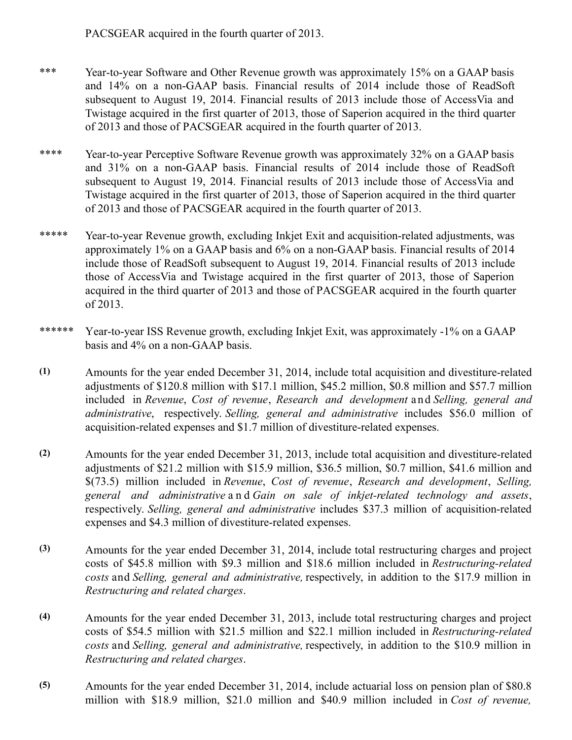PACSGEAR acquired in the fourth quarter of 2013.

- \*\*\* Year-to-year Software and Other Revenue growth was approximately 15% on a GAAP basis and 14% on a non-GAAP basis. Financial results of 2014 include those of ReadSoft subsequent to August 19, 2014. Financial results of 2013 include those of AccessVia and Twistage acquired in the first quarter of 2013, those of Saperion acquired in the third quarter of 2013 and those of PACSGEAR acquired in the fourth quarter of 2013.
- \*\*\*\* Year-to-year Perceptive Software Revenue growth was approximately 32% on a GAAP basis and 31% on a non-GAAP basis. Financial results of 2014 include those of ReadSoft subsequent to August 19, 2014. Financial results of 2013 include those of AccessVia and Twistage acquired in the first quarter of 2013, those of Saperion acquired in the third quarter of 2013 and those of PACSGEAR acquired in the fourth quarter of 2013.
- \*\*\*\*\* Year-to-year Revenue growth, excluding Inkjet Exit and acquisition-related adjustments, was approximately 1% on a GAAP basis and 6% on a non-GAAP basis. Financial results of 2014 include those of ReadSoft subsequent to August 19, 2014. Financial results of 2013 include those of AccessVia and Twistage acquired in the first quarter of 2013, those of Saperion acquired in the third quarter of 2013 and those of PACSGEAR acquired in the fourth quarter of 2013.
- \*\*\*\*\*\* Year-to-year ISS Revenue growth, excluding Inkjet Exit, was approximately -1% on a GAAP basis and 4% on a non-GAAP basis.
- **(1)** Amounts for the year ended December 31, 2014, include total acquisition and divestiture-related adjustments of \$120.8 million with \$17.1 million, \$45.2 million, \$0.8 million and \$57.7 million included in *Revenue*, *Cost of revenue*, *Research and development* a n d *Selling, general and administrative*, respectively. *Selling, general and administrative* includes \$56.0 million of acquisition-related expenses and \$1.7 million of divestiture-related expenses.
- **(2)** Amounts for the year ended December 31, 2013, include total acquisition and divestiture-related adjustments of \$21.2 million with \$15.9 million, \$36.5 million, \$0.7 million, \$41.6 million and \$(73.5) million included in *Revenue*, *Cost of revenue*, *Research and development*, *Selling, general and administrative* a n d *Gain on sale of inkjet-related technology and assets*, respectively. *Selling, general and administrative* includes \$37.3 million of acquisition-related expenses and \$4.3 million of divestiture-related expenses.
- **(3)** Amounts for the year ended December 31, 2014, include total restructuring charges and project costs of \$45.8 million with \$9.3 million and \$18.6 million included in *Restructuring-related costs* and *Selling, general and administrative,* respectively, in addition to the \$17.9 million in *Restructuring and related charges*.
- **(4)** Amounts for the year ended December 31, 2013, include total restructuring charges and project costs of \$54.5 million with \$21.5 million and \$22.1 million included in *Restructuring-related costs* and *Selling, general and administrative,* respectively, in addition to the \$10.9 million in *Restructuring and related charges*.
- **(5)** Amounts for the year ended December 31, 2014, include actuarial loss on pension plan of \$80.8 million with \$18.9 million, \$21.0 million and \$40.9 million included in *Cost of revenue,*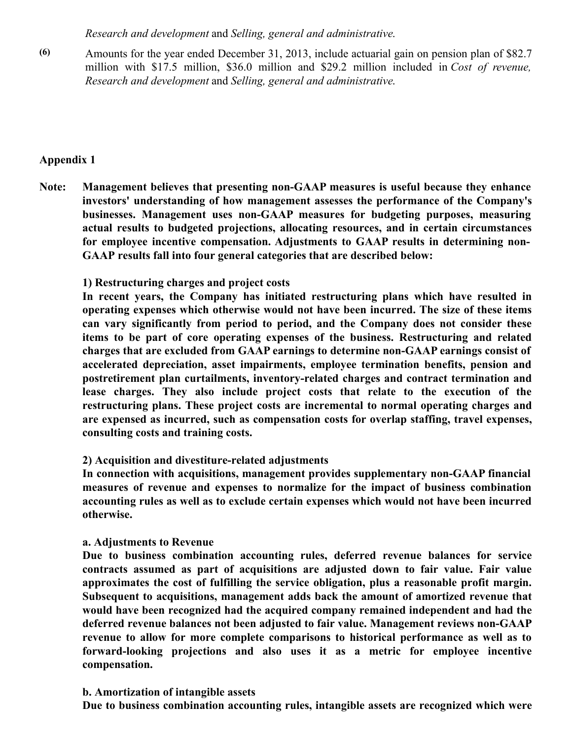*Research and development* and *Selling, general and administrative*.

**(6)** Amounts for the year ended December 31, 2013, include actuarial gain on pension plan of \$82.7 million with \$17.5 million, \$36.0 million and \$29.2 million included in *Cost of revenue, Research and development* and *Selling, general and administrative*.

#### **Appendix 1**

**Note: Management believes that presenting non-GAAP measures is useful because they enhance investors' understanding of how management assesses the performance of the Company's businesses. Management uses non-GAAP measures for budgeting purposes, measuring actual results to budgeted projections, allocating resources, and in certain circumstances for employee incentive compensation. Adjustments to GAAP results in determining non-GAAP results fall into four general categories that are described below:**

#### **1) Restructuring charges and project costs**

**In recent years, the Company has initiated restructuring plans which have resulted in operating expenses which otherwise would not have been incurred. The size of these items can vary significantly from period to period, and the Company does not consider these items to be part of core operating expenses of the business. Restructuring and related charges that are excluded from GAAP earnings to determine non-GAAP earnings consist of accelerated depreciation, asset impairments, employee termination benefits, pension and postretirement plan curtailments, inventory-related charges and contract termination and lease charges. They also include project costs that relate to the execution of the restructuring plans. These project costs are incremental to normal operating charges and are expensed as incurred, such as compensation costs for overlap staffing, travel expenses, consulting costs and training costs.**

#### **2) Acquisition and divestiture-related adjustments**

**In connection with acquisitions, management provides supplementary non-GAAP financial measures of revenue and expenses to normalize for the impact of business combination accounting rules as well as to exclude certain expenses which would not have been incurred otherwise.**

#### **a. Adjustments to Revenue**

**Due to business combination accounting rules, deferred revenue balances for service contracts assumed as part of acquisitions are adjusted down to fair value. Fair value approximates the cost of fulfilling the service obligation, plus a reasonable profit margin. Subsequent to acquisitions, management adds back the amount of amortized revenue that would have been recognized had the acquired company remained independent and had the deferred revenue balances not been adjusted to fair value. Management reviews non-GAAP revenue to allow for more complete comparisons to historical performance as well as to forward-looking projections and also uses it as a metric for employee incentive compensation.**

#### **b. Amortization of intangible assets**

**Due to business combination accounting rules, intangible assets are recognized which were**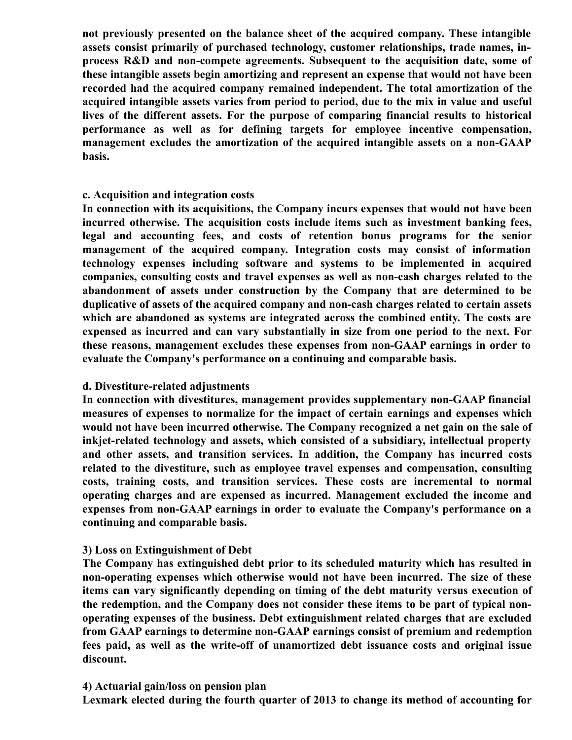**not previously presented on the balance sheet of the acquired company. These intangible assets consist primarily of purchased technology, customer relationships, trade names, inprocess R&D and non-compete agreements. Subsequent to the acquisition date, some of these intangible assets begin amortizing and represent an expense that would not have been recorded had the acquired company remained independent. The total amortization of the acquired intangible assets varies from period to period, due to the mix in value and useful lives of the different assets. For the purpose of comparing financial results to historical performance as well as for defining targets for employee incentive compensation, management excludes the amortization of the acquired intangible assets on a non-GAAP basis.**

#### **c. Acquisition and integration costs**

**In connection with its acquisitions, the Company incurs expenses that would not have been incurred otherwise. The acquisition costs include items such as investment banking fees, legal and accounting fees, and costs of retention bonus programs for the senior management of the acquired company. Integration costs may consist of information technology expenses including software and systems to be implemented in acquired companies, consulting costs and travel expenses as well as non-cash charges related to the abandonment of assets under construction by the Company that are determined to be duplicative of assets of the acquired company and non-cash charges related to certain assets which are abandoned as systems are integrated across the combined entity. The costs are expensed as incurred and can vary substantially in size from one period to the next. For these reasons, management excludes these expenses from non-GAAP earnings in order to evaluate the Company's performance on a continuing and comparable basis.**

#### **d. Divestiture-related adjustments**

**In connection with divestitures, management provides supplementary non-GAAP financial measures of expenses to normalize for the impact of certain earnings and expenses which would not have been incurred otherwise. The Company recognized a net gain on the sale of inkjet-related technology and assets, which consisted of a subsidiary, intellectual property and other assets, and transition services. In addition, the Company has incurred costs related to the divestiture, such as employee travel expenses and compensation, consulting costs, training costs, and transition services. These costs are incremental to normal operating charges and are expensed as incurred. Management excluded the income and expenses from non-GAAP earnings in order to evaluate the Company's performance on a continuing and comparable basis.**

#### **3) Loss on Extinguishment of Debt**

**The Company has extinguished debt prior to its scheduled maturity which has resulted in non-operating expenses which otherwise would not have been incurred. The size of these items can vary significantly depending on timing of the debt maturity versus execution of the redemption, and the Company does not consider these items to be part of typical nonoperating expenses of the business. Debt extinguishment related charges that are excluded from GAAP earnings to determine non-GAAP earnings consist of premium and redemption fees paid, as well as the write-off of unamortized debt issuance costs and original issue discount.**

#### **4) Actuarial gain/loss on pension plan**

**Lexmark elected during the fourth quarter of 2013 to change its method of accounting for**